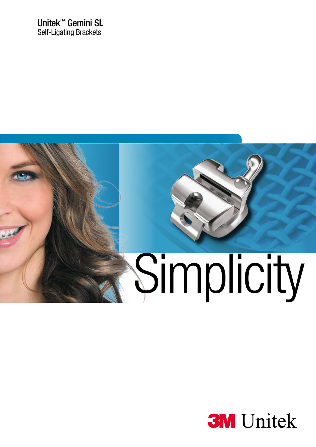Unitek™ Gemini SL **Self-Ligating Brackets** 



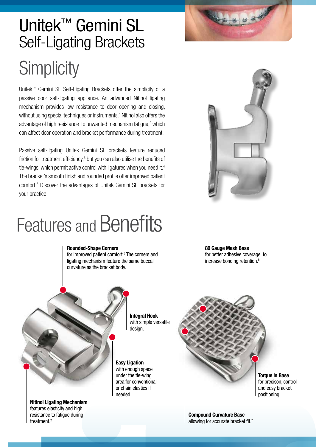

## **Simplicity** Unitek™ Gemini SL Self-Ligating Brackets

Unitek™ Gemini SL Self-Ligating Brackets offer the simplicity of a passive door self-ligating appliance. An advanced Nitinol ligating mechanism provides low resistance to door opening and closing, without using special techniques or instruments.<sup>1</sup> Nitinol also offers the advantage of high resistance to unwanted mechanism fatigue, $2$  which can affect door operation and bracket performance during treatment.

Passive self-ligating Unitek Gemini SL brackets feature reduced friction for treatment efficiency,<sup>3</sup> but you can also utilise the benefits of tie-wings, which permit active control with ligatures when you need it.<sup>4</sup> The bracket's smooth finish and rounded profile offer improved patient comfort.5 Discover the advantages of Unitek Gemini SL brackets for your practice.



# Features and Benefits

#### Rounded-Shape Corners

for improved patient comfort.<sup>5</sup> The corners and ligating mechanism feature the same buccal curvature as the bracket body.



Integral Hook with simple versatile design.

Nitinol Ligating Mechanism features elasticity and high resistance to fatigue during treatment.2

Easy Ligation with enough space under the tie-wing area for conventional or chain elastics if needed.

80 Gauge Mesh Base for better adhesive coverage to increase bonding retention.<sup>6</sup>



**Torque in Base** for precison, control and easy bracket positioning.

Compound Curvature Base allowing for accurate bracket fit.7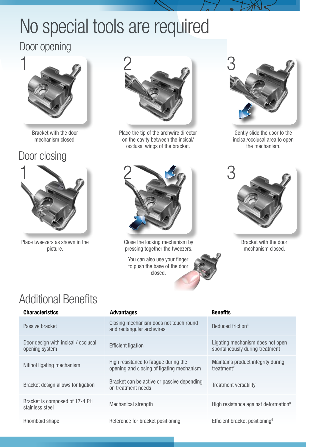# No special tools are required

### Door opening



Bracket with the door mechanism closed.

### Door closing



Place tweezers as shown in the picture.



Place the tip of the archwire director on the cavity between the incisal/ occlusal wings of the bracket.



Close the locking mechanism by pressing together the tweezers.

You can also use your finger to push the base of the door closed.



Gently slide the door to the incisal/occlusal area to open the mechanism.



Bracket with the door mechanism closed.

## Additional Benefits

| <b>Characteristics</b>                                | <b>Advantages</b>                                                                  | <b>Benefits</b>                                                    |
|-------------------------------------------------------|------------------------------------------------------------------------------------|--------------------------------------------------------------------|
| Passive bracket                                       | Closing mechanism does not touch round<br>and rectangular archwires                | Reduced friction <sup>3</sup>                                      |
| Door design with incisal / occlusal<br>opening system | <b>Efficient ligation</b>                                                          | Ligating mechanism does not open<br>spontaneously during treatment |
| Nitinol ligating mechanism                            | High resistance to fatigue during the<br>opening and closing of ligating mechanism | Maintains product integrity during<br>treatment <sup>2</sup>       |
| Bracket design allows for ligation                    | Bracket can be active or passive depending<br>on treatment needs                   | <b>Treatment versatility</b>                                       |
| Bracket is composed of 17-4 PH<br>stainless steel     | <b>Mechanical strength</b>                                                         | High resistance against deformation <sup>8</sup>                   |
| Rhomboid shape                                        | Reference for bracket positioning                                                  | Efficient bracket positioning <sup>9</sup>                         |